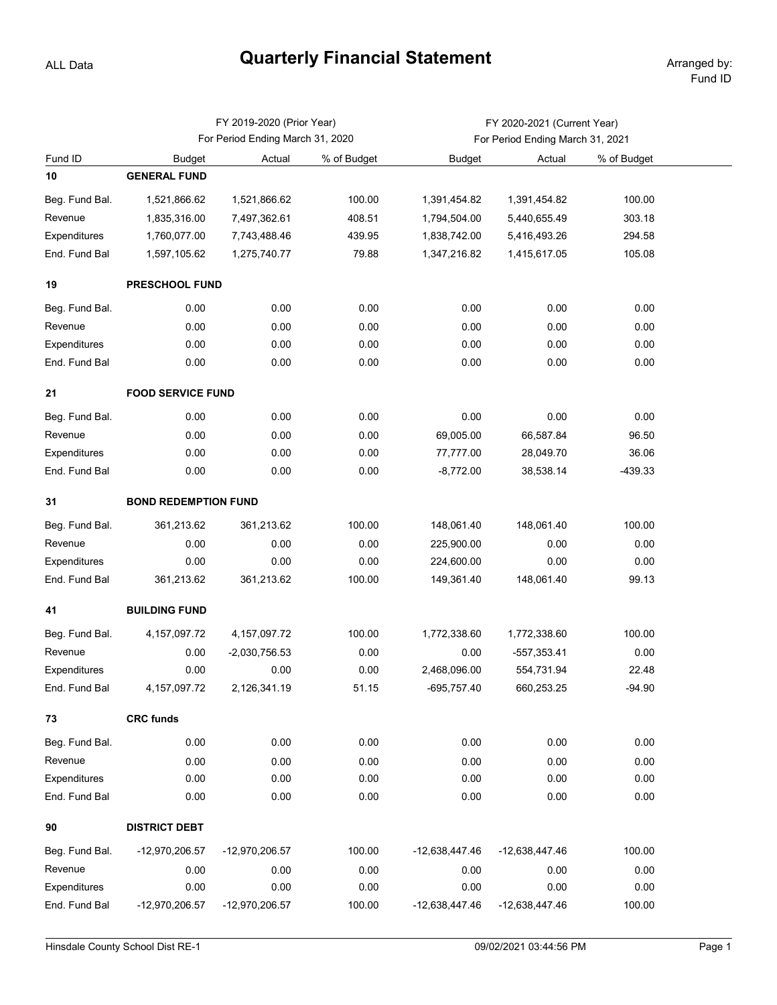## **Quarterly Financial Statement** Arranged by:

ALL Data

|                |                                  | FY 2019-2020 (Prior Year) |             | FY 2020-2021 (Current Year)      |                |             |  |  |  |  |
|----------------|----------------------------------|---------------------------|-------------|----------------------------------|----------------|-------------|--|--|--|--|
|                | For Period Ending March 31, 2020 |                           |             | For Period Ending March 31, 2021 |                |             |  |  |  |  |
| Fund ID        | <b>Budget</b>                    | Actual                    | % of Budget | Budget                           | Actual         | % of Budget |  |  |  |  |
| 10             | <b>GENERAL FUND</b>              |                           |             |                                  |                |             |  |  |  |  |
| Beg. Fund Bal. | 1,521,866.62                     | 1,521,866.62              | 100.00      | 1,391,454.82                     | 1,391,454.82   | 100.00      |  |  |  |  |
| Revenue        | 1,835,316.00                     | 7,497,362.61              | 408.51      | 1,794,504.00                     | 5,440,655.49   | 303.18      |  |  |  |  |
| Expenditures   | 1,760,077.00                     | 7,743,488.46              | 439.95      | 1,838,742.00                     | 5,416,493.26   | 294.58      |  |  |  |  |
| End. Fund Bal  | 1,597,105.62                     | 1,275,740.77              | 79.88       | 1,347,216.82                     | 1,415,617.05   | 105.08      |  |  |  |  |
| 19             | PRESCHOOL FUND                   |                           |             |                                  |                |             |  |  |  |  |
| Beg. Fund Bal. | 0.00                             | 0.00                      | 0.00        | 0.00                             | 0.00           | 0.00        |  |  |  |  |
| Revenue        | 0.00                             | 0.00                      | 0.00        | 0.00                             | 0.00           | 0.00        |  |  |  |  |
| Expenditures   | 0.00                             | 0.00                      | 0.00        | 0.00                             | 0.00           | 0.00        |  |  |  |  |
| End. Fund Bal  | 0.00                             | 0.00                      | 0.00        | 0.00                             | 0.00           | 0.00        |  |  |  |  |
| 21             | <b>FOOD SERVICE FUND</b>         |                           |             |                                  |                |             |  |  |  |  |
| Beg. Fund Bal. | 0.00                             | 0.00                      | 0.00        | 0.00                             | 0.00           | 0.00        |  |  |  |  |
| Revenue        | 0.00                             | 0.00                      | 0.00        | 69,005.00                        | 66,587.84      | 96.50       |  |  |  |  |
| Expenditures   | 0.00                             | 0.00                      | 0.00        | 77,777.00                        | 28,049.70      | 36.06       |  |  |  |  |
| End. Fund Bal  | 0.00                             | 0.00                      | 0.00        | $-8,772.00$                      | 38,538.14      | -439.33     |  |  |  |  |
| 31             | <b>BOND REDEMPTION FUND</b>      |                           |             |                                  |                |             |  |  |  |  |
| Beg. Fund Bal. | 361,213.62                       | 361,213.62                | 100.00      | 148,061.40                       | 148,061.40     | 100.00      |  |  |  |  |
| Revenue        | 0.00                             | 0.00                      | 0.00        | 225,900.00                       | 0.00           | 0.00        |  |  |  |  |
| Expenditures   | 0.00                             | 0.00                      | 0.00        | 224,600.00                       | 0.00           | 0.00        |  |  |  |  |
| End. Fund Bal  | 361,213.62                       | 361,213.62                | 100.00      | 149,361.40                       | 148,061.40     | 99.13       |  |  |  |  |
| 41             | <b>BUILDING FUND</b>             |                           |             |                                  |                |             |  |  |  |  |
| Beg. Fund Bal. | 4, 157, 097. 72                  | 4, 157, 097. 72           | 100.00      | 1,772,338.60                     | 1,772,338.60   | 100.00      |  |  |  |  |
| Revenue        | 0.00                             | $-2,030,756.53$           | 0.00        | 0.00                             | $-557,353.41$  | 0.00        |  |  |  |  |
| Expenditures   | 0.00                             | 0.00                      | 0.00        | 2,468,096.00                     | 554,731.94     | 22.48       |  |  |  |  |
| End. Fund Bal  | 4, 157, 097. 72                  | 2,126,341.19              | 51.15       | -695,757.40                      | 660,253.25     | $-94.90$    |  |  |  |  |
| 73             | <b>CRC funds</b>                 |                           |             |                                  |                |             |  |  |  |  |
| Beg. Fund Bal. | 0.00                             | 0.00                      | 0.00        | 0.00                             | 0.00           | 0.00        |  |  |  |  |
| Revenue        | 0.00                             | 0.00                      | 0.00        | 0.00                             | 0.00           | 0.00        |  |  |  |  |
| Expenditures   | 0.00                             | 0.00                      | 0.00        | 0.00                             | 0.00           | 0.00        |  |  |  |  |
| End. Fund Bal  | 0.00                             | 0.00                      | 0.00        | 0.00                             | 0.00           | 0.00        |  |  |  |  |
| 90             | <b>DISTRICT DEBT</b>             |                           |             |                                  |                |             |  |  |  |  |
| Beg. Fund Bal. | -12,970,206.57                   | -12,970,206.57            | 100.00      | -12,638,447.46                   | -12,638,447.46 | 100.00      |  |  |  |  |
| Revenue        | 0.00                             | 0.00                      | 0.00        | 0.00                             | 0.00           | 0.00        |  |  |  |  |
| Expenditures   | 0.00                             | 0.00                      | 0.00        | 0.00                             | 0.00           | 0.00        |  |  |  |  |
| End. Fund Bal  | -12,970,206.57                   | -12,970,206.57            | 100.00      | -12,638,447.46                   | -12,638,447.46 | 100.00      |  |  |  |  |